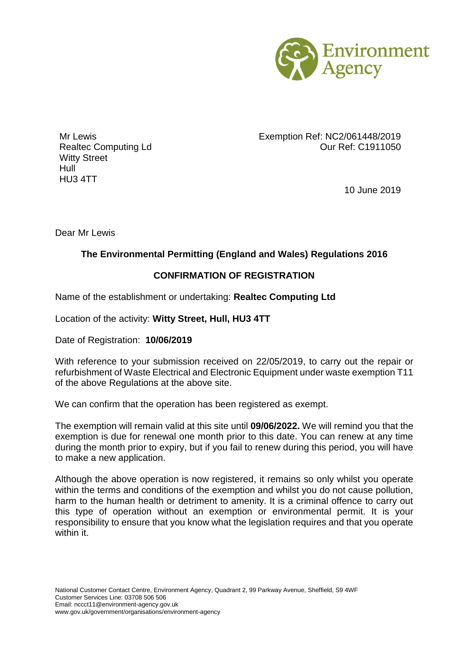

Witty Street Hull HU3 4TT

Mr Lewis Exemption Ref: NC2/061448/2019 Realtec Computing Ld **Called Computing Ld** Case Computing Ld Current C1911050

10 June 2019

Dear Mr Lewis

## **The Environmental Permitting (England and Wales) Regulations 2016**

## **CONFIRMATION OF REGISTRATION**

Name of the establishment or undertaking: **Realtec Computing Ltd**

Location of the activity: **Witty Street, Hull, HU3 4TT**

Date of Registration: **10/06/2019**

With reference to your submission received on 22/05/2019, to carry out the repair or refurbishment of Waste Electrical and Electronic Equipment under waste exemption T11 of the above Regulations at the above site.

We can confirm that the operation has been registered as exempt.

The exemption will remain valid at this site until **09/06/2022.** We will remind you that the exemption is due for renewal one month prior to this date. You can renew at any time during the month prior to expiry, but if you fail to renew during this period, you will have to make a new application.

Although the above operation is now registered, it remains so only whilst you operate within the terms and conditions of the exemption and whilst you do not cause pollution, harm to the human health or detriment to amenity. It is a criminal offence to carry out this type of operation without an exemption or environmental permit. It is your responsibility to ensure that you know what the legislation requires and that you operate within it.